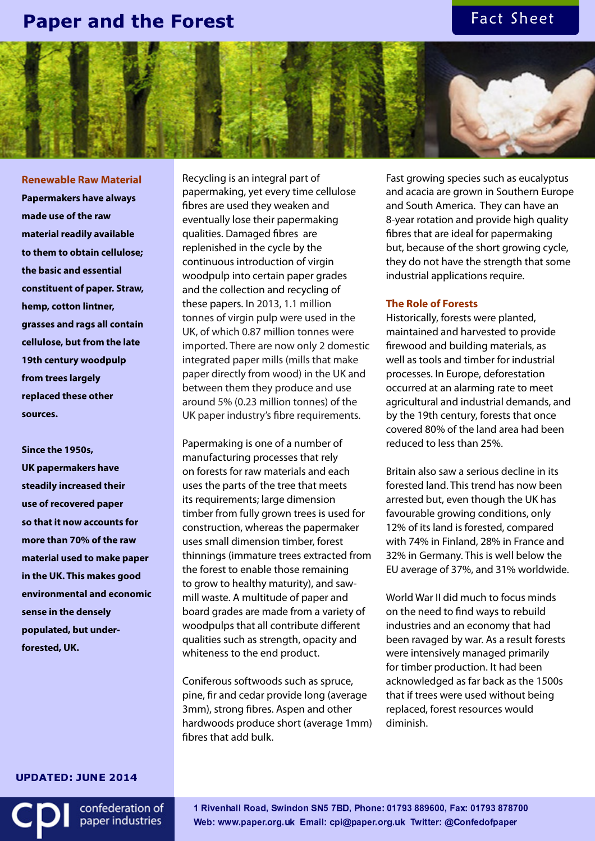## **Paper and the Forest**

## Fact Sheet



**Renewable Raw Material Papermakers have always made use of the raw material readily available to them to obtain cellulose; the basic and essential constituent of paper. Straw, hemp, cotton lintner, grasses and rags all contain cellulose, but from the late 19th century woodpulp from trees largely replaced these other sources.**

**Since the 1950s, UK papermakers have steadily increased their use of recovered paper so that it now accounts for more than 70% of the raw material used to make paper in the UK. This makes good environmental and economic sense in the densely populated, but underforested, UK.**

Recycling is an integral part of papermaking, yet every time cellulose fibres are used they weaken and eventually lose their papermaking qualities. Damaged fibres are replenished in the cycle by the continuous introduction of virgin woodpulp into certain paper grades and the collection and recycling of these papers. In 2013, 1.1 million tonnes of virgin pulp were used in the UK, of which 0.87 million tonnes were imported. There are now only 2 domestic integrated paper mills (mills that make paper directly from wood) in the UK and between them they produce and use around 5% (0.23 million tonnes) of the UK paper industry's fibre requirements.

Papermaking is one of a number of manufacturing processes that rely on forests for raw materials and each uses the parts of the tree that meets its requirements; large dimension timber from fully grown trees is used for construction, whereas the papermaker uses small dimension timber, forest thinnings (immature trees extracted from the forest to enable those remaining to grow to healthy maturity), and sawmill waste. A multitude of paper and board grades are made from a variety of woodpulps that all contribute different qualities such as strength, opacity and whiteness to the end product.

Coniferous softwoods such as spruce, pine, fir and cedar provide long (average 3mm), strong fibres. Aspen and other hardwoods produce short (average 1mm) fibres that add bulk.

Fast growing species such as eucalyptus and acacia are grown in Southern Europe and South America. They can have an 8-year rotation and provide high quality fibres that are ideal for papermaking but, because of the short growing cycle, they do not have the strength that some industrial applications require.

### **The Role of Forests**

Historically, forests were planted, maintained and harvested to provide firewood and building materials, as well as tools and timber for industrial processes. In Europe, deforestation occurred at an alarming rate to meet agricultural and industrial demands, and by the 19th century, forests that once covered 80% of the land area had been reduced to less than 25%.

Britain also saw a serious decline in its forested land. This trend has now been arrested but, even though the UK has favourable growing conditions, only 12% of its land is forested, compared with 74% in Finland, 28% in France and 32% in Germany. This is well below the EU average of 37%, and 31% worldwide.

World War II did much to focus minds on the need to find ways to rebuild industries and an economy that had been ravaged by war. As a result forests were intensively managed primarily for timber production. It had been acknowledged as far back as the 1500s that if trees were used without being replaced, forest resources would diminish.

**UPDATED: JUNE 2014** 

confederation of paper industries

 -  -  Web: www.paper.org.uk Email: cpi@paper.org.uk Twitter: @Confedofpape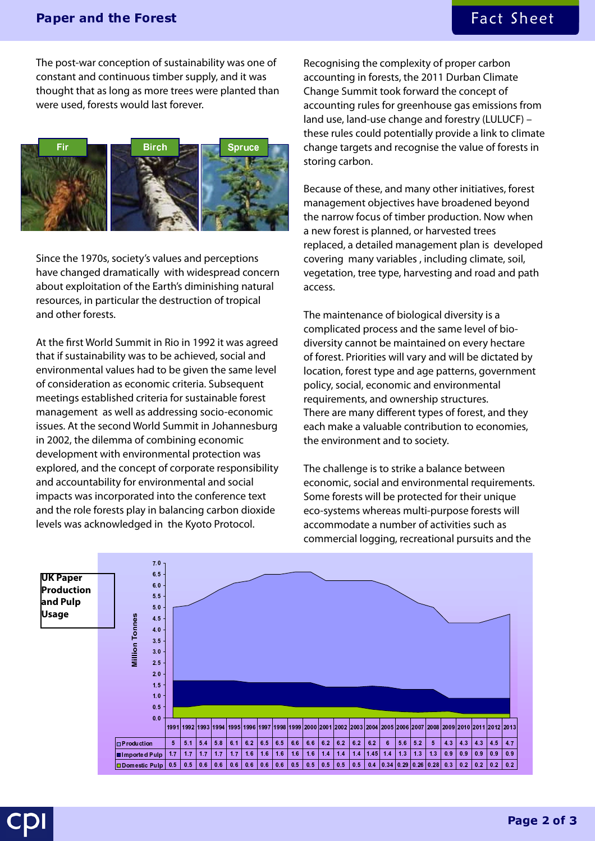# Fact Sheet

## Paper and the Forest

The post-war conception of sustainability was one of constant and continuous timber supply, and it was thought that as long as more trees were planted than were used, forests would last forever.



Since the 1970s, society's values and perceptions have changed dramatically with widespread concern about exploitation of the Earth's diminishing natural resources, in particular the destruction of tropical and other forests.

At the first World Summit in Rio in 1992 it was agreed that if sustainability was to be achieved, social and environmental values had to be given the same level of consideration as economic criteria. Subsequent meetings established criteria for sustainable forest management as well as addressing socio-economic issues. At the second World Summit in Johannesburg in 2002, the dilemma of combining economic development with environmental protection was explored, and the concept of corporate responsibility and accountability for environmental and social impacts was incorporated into the conference text and the role forests play in balancing carbon dioxide levels was acknowledged in the Kyoto Protocol.

Recognising the complexity of proper carbon accounting in forests, the 2011 Durban Climate Change Summit took forward the concept of accounting rules for greenhouse gas emissions from land use, land-use change and forestry (LULUCF) – these rules could potentially provide a link to climate change targets and recognise the value of forests in storing carbon.

Because of these, and many other initiatives, forest management objectives have broadened beyond the narrow focus of timber production. Now when a new forest is planned, or harvested trees replaced, a detailed management plan is developed covering many variables , including climate, soil, vegetation, tree type, harvesting and road and path access.

The maintenance of biological diversity is a complicated process and the same level of biodiversity cannot be maintained on every hectare of forest. Priorities will vary and will be dictated by location, forest type and age patterns, government policy, social, economic and environmental requirements, and ownership structures. There are many different types of forest, and they each make a valuable contribution to economies, the environment and to society.

The challenge is to strike a balance between economic, social and environmental requirements. Some forests will be protected for their unique eco-systems whereas multi-purpose forests will accommodate a number of activities such as commercial logging, recreational pursuits and the